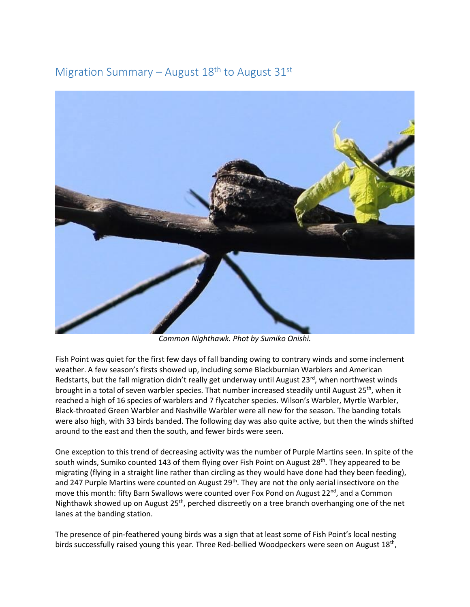Migration Summary – August  $18<sup>th</sup>$  to August  $31<sup>st</sup>$ 



*Common Nighthawk. Phot by Sumiko Onishi.* 

Fish Point was quiet for the first few days of fall banding owing to contrary winds and some inclement weather. A few season's firsts showed up, including some Blackburnian Warblers and American Redstarts, but the fall migration didn't really get underway until August 23rd, when northwest winds brought in a total of seven warbler species. That number increased steadily until August 25<sup>th</sup>, when it reached a high of 16 species of warblers and 7 flycatcher species. Wilson's Warbler, Myrtle Warbler, Black-throated Green Warbler and Nashville Warbler were all new for the season. The banding totals were also high, with 33 birds banded. The following day was also quite active, but then the winds shifted around to the east and then the south, and fewer birds were seen.

One exception to this trend of decreasing activity was the number of Purple Martins seen. In spite of the south winds, Sumiko counted 143 of them flying over Fish Point on August  $28<sup>th</sup>$ . They appeared to be migrating (flying in a straight line rather than circling as they would have done had they been feeding), and 247 Purple Martins were counted on August 29<sup>th</sup>. They are not the only aerial insectivore on the move this month: fifty Barn Swallows were counted over Fox Pond on August 22<sup>nd</sup>, and a Common Nighthawk showed up on August 25<sup>th</sup>, perched discreetly on a tree branch overhanging one of the net lanes at the banding station.

The presence of pin-feathered young birds was a sign that at least some of Fish Point's local nesting birds successfully raised young this year. Three Red-bellied Woodpeckers were seen on August 18<sup>th</sup>,